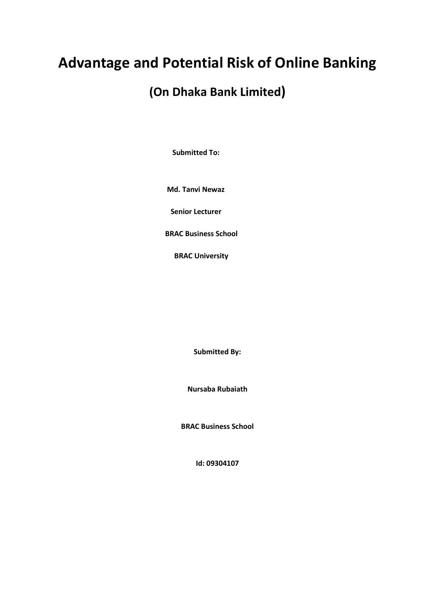# **Advantage and Potential Risk of Online Banking**

# **(On Dhaka Bank Limited)**

 **Submitted To:**

 **Md. Tanvi Newaz**

 **Senior Lecturer**

 **BRAC Business School**

 **BRAC University**

**Submitted By:**

**Nursaba Rubaiath**

**BRAC Business School**

**Id: 09304107**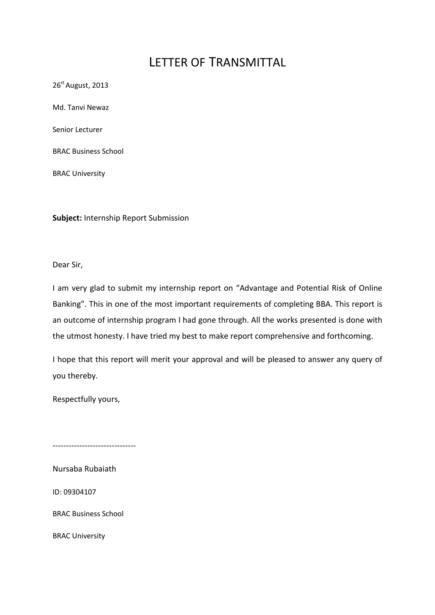# LETTER OF TRANSMITTAL

26<sup>st</sup> August, 2013 Md. Tanvi Newaz Senior Lecturer BRAC Business School BRAC University

**Subject:** Internship Report Submission

Dear Sir,

I am very glad to submit my internship report on "Advantage and Potential Risk of Online Banking". This in one of the most important requirements of completing BBA. This report is an outcome of internship program I had gone through. All the works presented is done with the utmost honesty. I have tried my best to make report comprehensive and forthcoming.

I hope that this report will merit your approval and will be pleased to answer any query of you thereby.

Respectfully yours,

-------------------------------

Nursaba Rubaiath

ID: 09304107

BRAC Business School

BRAC University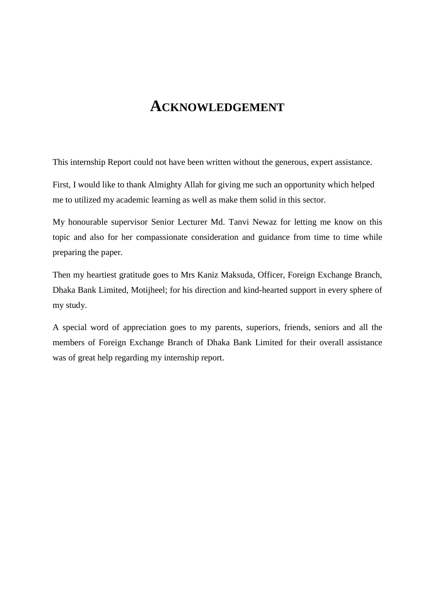# **ACKNOWLEDGEMENT**

This internship Report could not have been written without the generous, expert assistance.

First, I would like to thank Almighty Allah for giving me such an opportunity which helped me to utilized my academic learning as well as make them solid in this sector.

My honourable supervisor Senior Lecturer Md. Tanvi Newaz for letting me know on this topic and also for her compassionate consideration and guidance from time to time while preparing the paper.

Then my heartiest gratitude goes to Mrs Kaniz Maksuda, Officer, Foreign Exchange Branch, Dhaka Bank Limited, Motijheel; for his direction and kind-hearted support in every sphere of my study.

A special word of appreciation goes to my parents, superiors, friends, seniors and all the members of Foreign Exchange Branch of Dhaka Bank Limited for their overall assistance was of great help regarding my internship report.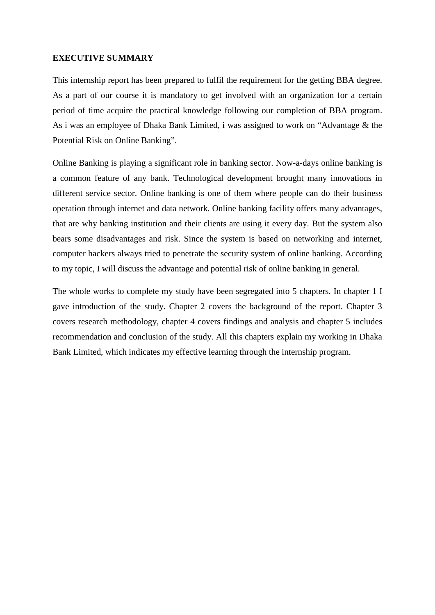#### **EXECUTIVE SUMMARY**

This internship report has been prepared to fulfil the requirement for the getting BBA degree. As a part of our course it is mandatory to get involved with an organization for a certain period of time acquire the practical knowledge following our completion of BBA program. As i was an employee of Dhaka Bank Limited, i was assigned to work on "Advantage & the Potential Risk on Online Banking".

Online Banking is playing a significant role in banking sector. Now-a-days online banking is a common feature of any bank. Technological development brought many innovations in different service sector. Online banking is one of them where people can do their business operation through internet and data network. Online banking facility offers many advantages, that are why banking institution and their clients are using it every day. But the system also bears some disadvantages and risk. Since the system is based on networking and internet, computer hackers always tried to penetrate the security system of online banking. According to my topic, I will discuss the advantage and potential risk of online banking in general.

The whole works to complete my study have been segregated into 5 chapters. In chapter 1 I gave introduction of the study. Chapter 2 covers the background of the report. Chapter 3 covers research methodology, chapter 4 covers findings and analysis and chapter 5 includes recommendation and conclusion of the study. All this chapters explain my working in Dhaka Bank Limited, which indicates my effective learning through the internship program.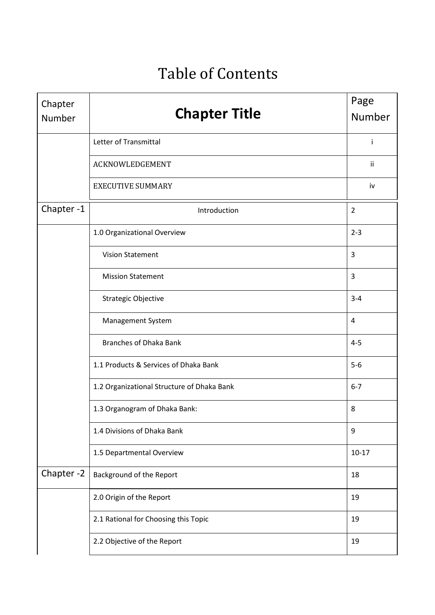# Table of Contents

| Chapter<br>Number | <b>Chapter Title</b>                       | Page<br>Number |
|-------------------|--------------------------------------------|----------------|
|                   | Letter of Transmittal                      | Ť              |
|                   | ACKNOWLEDGEMENT                            | ii             |
|                   | <b>EXECUTIVE SUMMARY</b>                   | iv             |
| Chapter-1         | Introduction                               | $\overline{2}$ |
|                   | 1.0 Organizational Overview                | $2 - 3$        |
|                   | <b>Vision Statement</b>                    | 3              |
|                   | <b>Mission Statement</b>                   | 3              |
|                   | <b>Strategic Objective</b>                 | $3 - 4$        |
|                   | <b>Management System</b>                   | $\overline{4}$ |
|                   | <b>Branches of Dhaka Bank</b>              | $4 - 5$        |
|                   | 1.1 Products & Services of Dhaka Bank      | $5-6$          |
|                   | 1.2 Organizational Structure of Dhaka Bank | $6 - 7$        |
|                   | 1.3 Organogram of Dhaka Bank:              | 8              |
|                   | 1.4 Divisions of Dhaka Bank                | 9              |
|                   | 1.5 Departmental Overview                  | $10 - 17$      |
| Chapter-2         | Background of the Report                   | 18             |
|                   | 2.0 Origin of the Report                   | 19             |
|                   | 2.1 Rational for Choosing this Topic       | 19             |
|                   | 2.2 Objective of the Report                | 19             |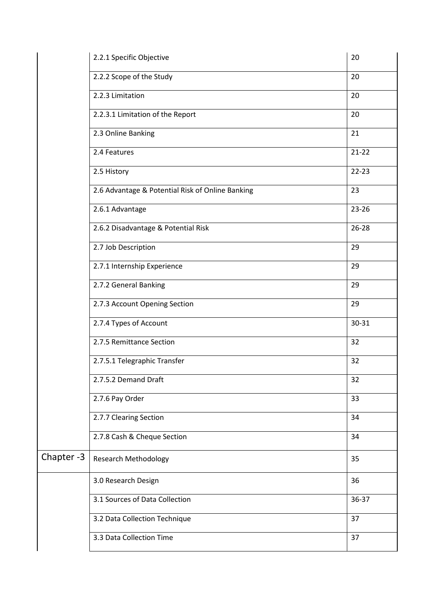|           | 2.2.1 Specific Objective                         | 20        |
|-----------|--------------------------------------------------|-----------|
|           | 2.2.2 Scope of the Study                         | 20        |
|           | 2.2.3 Limitation                                 | 20        |
|           | 2.2.3.1 Limitation of the Report                 | 20        |
|           | 2.3 Online Banking                               | 21        |
|           | 2.4 Features                                     | $21 - 22$ |
|           | 2.5 History                                      | $22 - 23$ |
|           | 2.6 Advantage & Potential Risk of Online Banking | 23        |
|           | 2.6.1 Advantage                                  | 23-26     |
|           | 2.6.2 Disadvantage & Potential Risk              | $26 - 28$ |
|           | 2.7 Job Description                              | 29        |
|           | 2.7.1 Internship Experience                      | 29        |
|           | 2.7.2 General Banking                            | 29        |
|           | 2.7.3 Account Opening Section                    | 29        |
|           | 2.7.4 Types of Account                           | 30-31     |
|           | 2.7.5 Remittance Section                         | 32        |
|           | 2.7.5.1 Telegraphic Transfer                     | 32        |
|           | 2.7.5.2 Demand Draft                             | 32        |
|           | 2.7.6 Pay Order                                  | 33        |
|           | 2.7.7 Clearing Section                           | 34        |
|           | 2.7.8 Cash & Cheque Section                      | 34        |
| Chapter-3 | <b>Research Methodology</b>                      | 35        |
|           | 3.0 Research Design                              | 36        |
|           | 3.1 Sources of Data Collection                   | 36-37     |
|           | 3.2 Data Collection Technique                    | 37        |
|           | 3.3 Data Collection Time                         | 37        |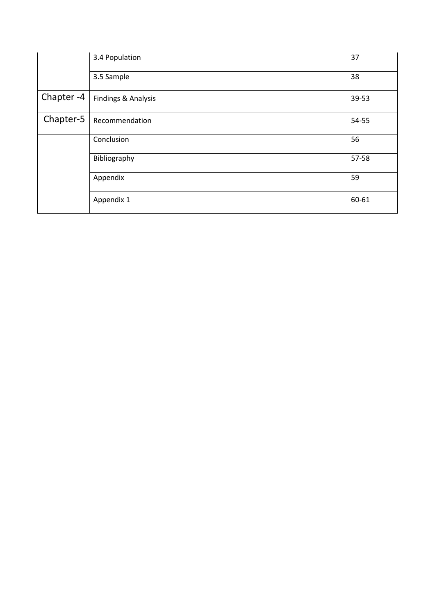|           | 3.4 Population      | 37    |
|-----------|---------------------|-------|
|           | 3.5 Sample          | 38    |
| Chapter-4 | Findings & Analysis | 39-53 |
| Chapter-5 | Recommendation      | 54-55 |
|           | Conclusion          | 56    |
|           | Bibliography        | 57-58 |
|           | Appendix            | 59    |
|           | Appendix 1          | 60-61 |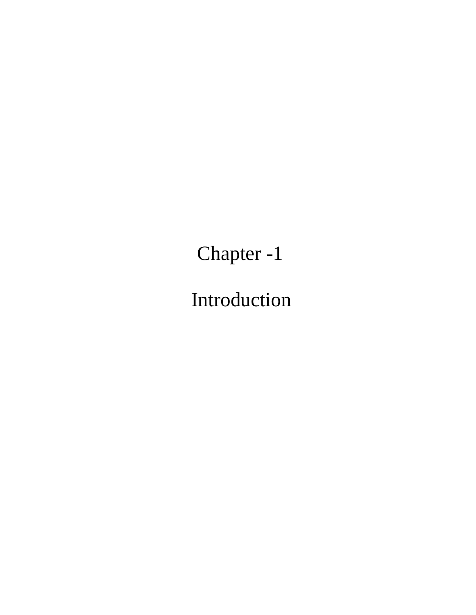Chapter -1

Introduction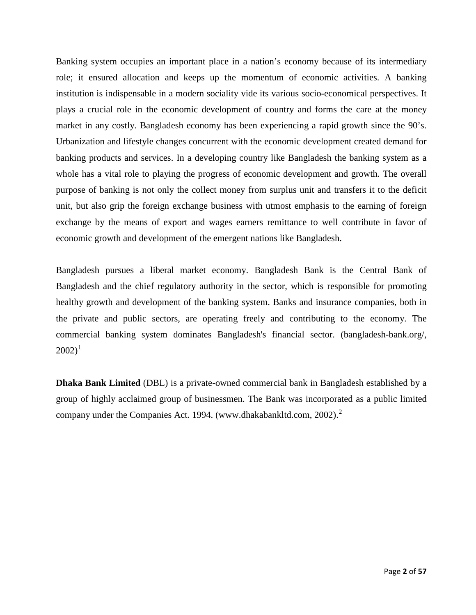<span id="page-8-0"></span>Banking system occupies an important place in a nation's economy because of its intermediary role; it ensured allocation and keeps up the momentum of economic activities. A banking institution is indispensable in a modern sociality vide its various socio-economical perspectives. It plays a crucial role in the economic development of country and forms the care at the money market in any costly. Bangladesh economy has been experiencing a rapid growth since the 90's. Urbanization and lifestyle changes concurrent with the economic development created demand for banking products and services. In a developing country like Bangladesh the banking system as a whole has a vital role to playing the progress of economic development and growth. The overall purpose of banking is not only the collect money from surplus unit and transfers it to the deficit unit, but also grip the foreign exchange business with utmost emphasis to the earning of foreign exchange by the means of export and wages earners remittance to well contribute in favor of economic growth and development of the emergent nations like Bangladesh.

Bangladesh pursues a liberal market economy. Bangladesh Bank is the Central Bank of Bangladesh and the chief regulatory authority in the sector, which is responsible for promoting healthy growth and development of the banking system. Banks and insurance companies, both in the private and public sectors, are operating freely and contributing to the economy. The commercial banking system dominates Bangladesh's financial sector. (bangladesh-bank.org/,  $2002$ <sup>[1](#page-8-0)</sup>

**Dhaka Bank Limited** (DBL) is a private-owned commercial bank in Bangladesh established by a group of highly acclaimed group of businessmen. The Bank was incorporated as a public limited company under the Companies Act. 1994. (www.dhakabankltd.com, [2](#page-8-1)002).<sup>2</sup>

<span id="page-8-1"></span> $\overline{a}$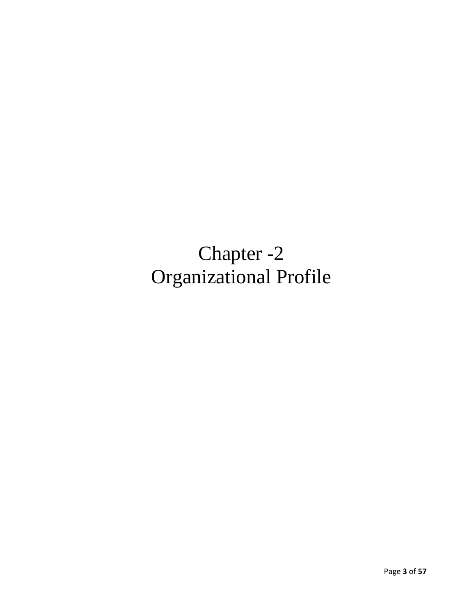# Chapter -2 Organizational Profile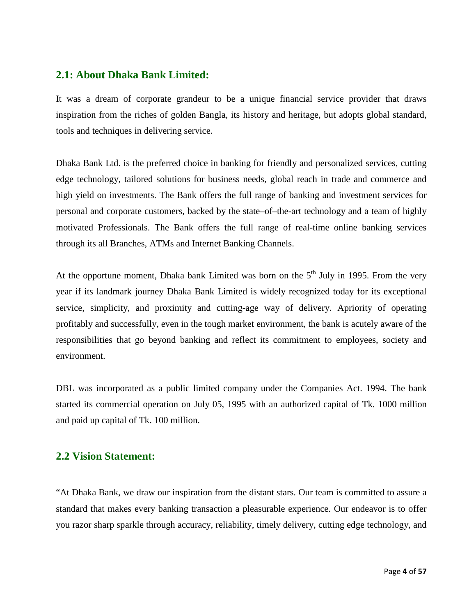## **2.1: About Dhaka Bank Limited:**

It was a dream of corporate grandeur to be a unique financial service provider that draws inspiration from the riches of golden Bangla, its history and heritage, but adopts global standard, tools and techniques in delivering service.

Dhaka Bank Ltd. is the preferred choice in banking for friendly and personalized services, cutting edge technology, tailored solutions for business needs, global reach in trade and commerce and high yield on investments. The Bank offers the full range of banking and investment services for personal and corporate customers, backed by the state–of–the-art technology and a team of highly motivated Professionals. The Bank offers the full range of real-time online banking services through its all Branches, ATMs and Internet Banking Channels.

At the opportune moment, Dhaka bank Limited was born on the  $5<sup>th</sup>$  July in 1995. From the very year if its landmark journey Dhaka Bank Limited is widely recognized today for its exceptional service, simplicity, and proximity and cutting-age way of delivery. Apriority of operating profitably and successfully, even in the tough market environment, the bank is acutely aware of the responsibilities that go beyond banking and reflect its commitment to employees, society and environment.

DBL was incorporated as a public limited company under the Companies Act. 1994. The bank started its commercial operation on July 05, 1995 with an authorized capital of Tk. 1000 million and paid up capital of Tk. 100 million.

## **2.2 Vision Statement:**

"At Dhaka Bank, we draw our inspiration from the distant stars. Our team is committed to assure a standard that makes every banking transaction a pleasurable experience. Our endeavor is to offer you razor sharp sparkle through accuracy, reliability, timely delivery, cutting edge technology, and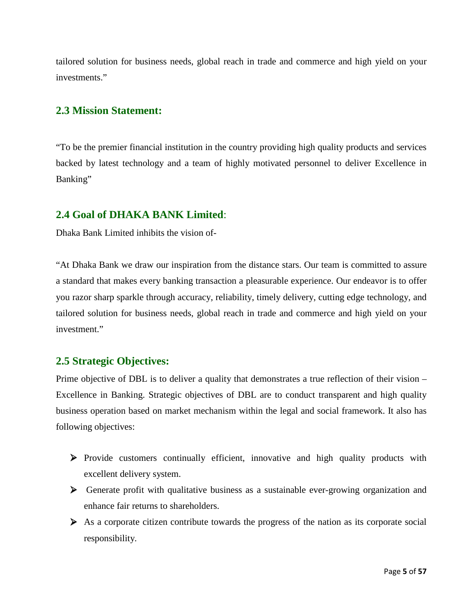tailored solution for business needs, global reach in trade and commerce and high yield on your investments."

## **2.3 Mission Statement:**

"To be the premier financial institution in the country providing high quality products and services backed by latest technology and a team of highly motivated personnel to deliver Excellence in Banking"

## **2.4 Goal of DHAKA BANK Limited**:

Dhaka Bank Limited inhibits the vision of-

"At Dhaka Bank we draw our inspiration from the distance stars. Our team is committed to assure a standard that makes every banking transaction a pleasurable experience. Our endeavor is to offer you razor sharp sparkle through accuracy, reliability, timely delivery, cutting edge technology, and tailored solution for business needs, global reach in trade and commerce and high yield on your investment."

#### **2.5 Strategic Objectives:**

Prime objective of DBL is to deliver a quality that demonstrates a true reflection of their vision – Excellence in Banking. Strategic objectives of DBL are to conduct transparent and high quality business operation based on market mechanism within the legal and social framework. It also has following objectives:

- Provide customers continually efficient, innovative and high quality products with excellent delivery system.
- Generate profit with qualitative business as a sustainable ever-growing organization and enhance fair returns to shareholders.
- $\triangleright$  As a corporate citizen contribute towards the progress of the nation as its corporate social responsibility.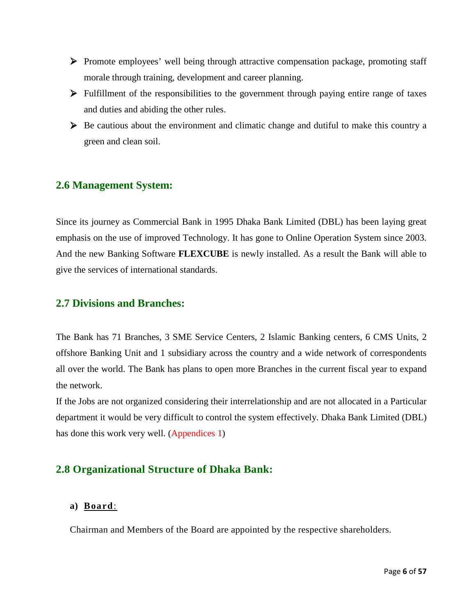- Promote employees' well being through attractive compensation package, promoting staff morale through training, development and career planning.
- Fulfillment of the responsibilities to the government through paying entire range of taxes and duties and abiding the other rules.
- $\triangleright$  Be cautious about the environment and climatic change and dutiful to make this country a green and clean soil.

# **2.6 Management System:**

Since its journey as Commercial Bank in 1995 Dhaka Bank Limited (DBL) has been laying great emphasis on the use of improved Technology. It has gone to Online Operation System since 2003. And the new Banking Software **FLEXCUBE** is newly installed. As a result the Bank will able to give the services of international standards.

#### **2.7 Divisions and Branches:**

The Bank has 71 Branches, 3 SME Service Centers, 2 Islamic Banking centers, 6 CMS Units, 2 offshore Banking Unit and 1 subsidiary across the country and a wide network of correspondents all over the world. The Bank has plans to open more Branches in the current fiscal year to expand the network.

If the Jobs are not organized considering their interrelationship and are not allocated in a Particular department it would be very difficult to control the system effectively. Dhaka Bank Limited (DBL) has done this work very well. (Appendices 1)

# **2.8 Organizational Structure of Dhaka Bank:**

#### **a) Board**:

Chairman and Members of the Board are appointed by the respective shareholders.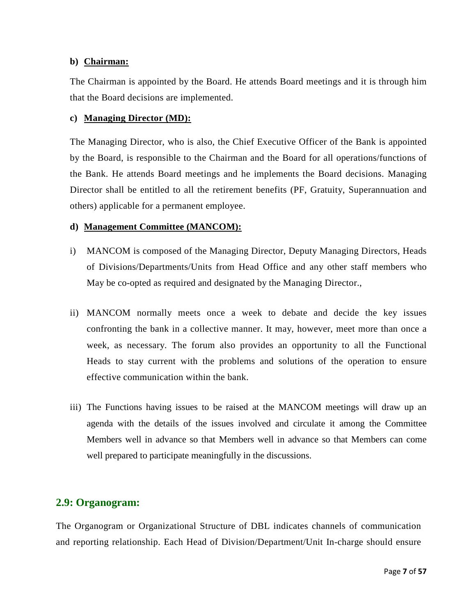#### **b) Chairman:**

The Chairman is appointed by the Board. He attends Board meetings and it is through him that the Board decisions are implemented.

#### **c) Managing Director (MD):**

The Managing Director, who is also, the Chief Executive Officer of the Bank is appointed by the Board, is responsible to the Chairman and the Board for all operations/functions of the Bank. He attends Board meetings and he implements the Board decisions. Managing Director shall be entitled to all the retirement benefits (PF, Gratuity, Superannuation and others) applicable for a permanent employee.

#### **d) Management Committee (MANCOM):**

- i) MANCOM is composed of the Managing Director, Deputy Managing Directors, Heads of Divisions/Departments/Units from Head Office and any other staff members who May be co-opted as required and designated by the Managing Director.,
- ii) MANCOM normally meets once a week to debate and decide the key issues confronting the bank in a collective manner. It may, however, meet more than once a week, as necessary. The forum also provides an opportunity to all the Functional Heads to stay current with the problems and solutions of the operation to ensure effective communication within the bank.
- iii) The Functions having issues to be raised at the MANCOM meetings will draw up an agenda with the details of the issues involved and circulate it among the Committee Members well in advance so that Members well in advance so that Members can come well prepared to participate meaningfully in the discussions.

## **2.9: Organogram:**

The Organogram or Organizational Structure of DBL indicates channels of communication and reporting relationship. Each Head of Division/Department/Unit In-charge should ensure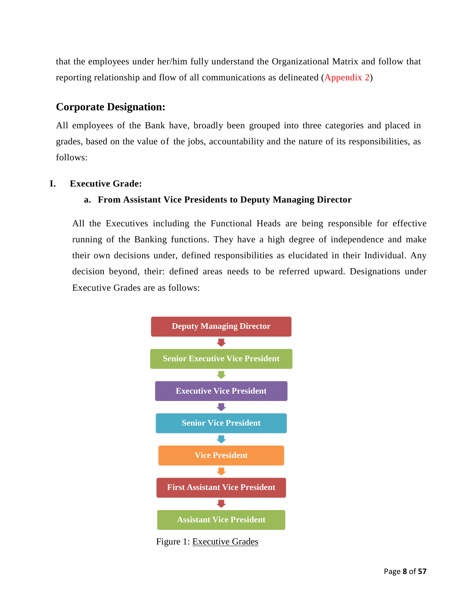that the employees under her/him fully understand the Organizational Matrix and follow that reporting relationship and flow of all communications as delineated (Appendix 2)

# **Corporate Designation:**

All employees of the Bank have, broadly been grouped into three categories and placed in grades, based on the value of the jobs, accountability and the nature of its responsibilities, as follows:

#### **I. Executive Grade:**

#### **a. From Assistant Vice Presidents to Deputy Managing Director**

All the Executives including the Functional Heads are being responsible for effective running of the Banking functions. They have a high degree of independence and make their own decisions under, defined responsibilities as elucidated in their Individual. Any decision beyond, their: defined areas needs to be referred upward. Designations under Executive Grades are as follows:



Figure 1: Executive Grades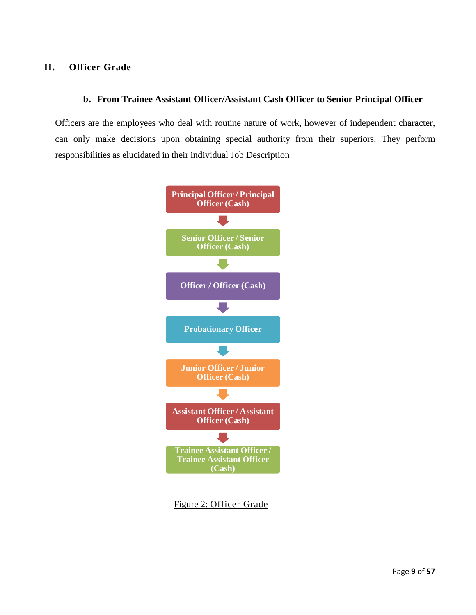#### **II. Officer Grade**

#### **b. From Trainee Assistant Officer/Assistant Cash Officer to Senior Principal Officer**

Officers are the employees who deal with routine nature of work, however of independent character, can only make decisions upon obtaining special authority from their superiors. They perform responsibilities as elucidated in their individual Job Description



Figure 2: Officer Grade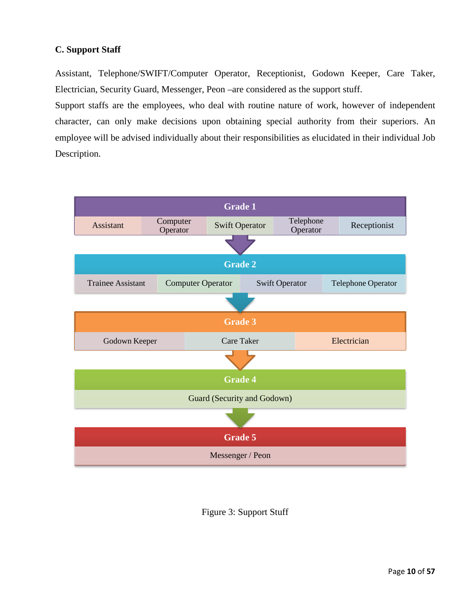#### **C. Support Staff**

Assistant, Telephone/SWIFT/Computer Operator, Receptionist, Godown Keeper, Care Taker, Electrician, Security Guard, Messenger, Peon –are considered as the support stuff.

Support staffs are the employees, who deal with routine nature of work, however of independent character, can only make decisions upon obtaining special authority from their superiors. An employee will be advised individually about their responsibilities as elucidated in their individual Job Description.



Figure 3: Support Stuff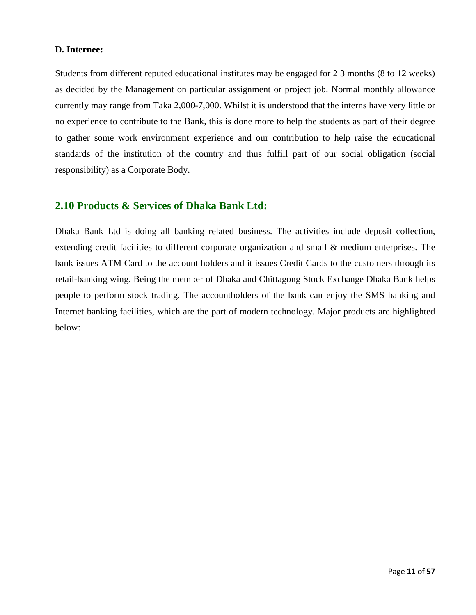#### **D. Internee:**

Students from different reputed educational institutes may be engaged for 2 3 months (8 to 12 weeks) as decided by the Management on particular assignment or project job. Normal monthly allowance currently may range from Taka 2,000-7,000. Whilst it is understood that the interns have very little or no experience to contribute to the Bank, this is done more to help the students as part of their degree to gather some work environment experience and our contribution to help raise the educational standards of the institution of the country and thus fulfill part of our social obligation (social responsibility) as a Corporate Body.

#### **2.10 Products & Services of Dhaka Bank Ltd:**

Dhaka Bank Ltd is doing all banking related business. The activities include deposit collection, extending credit facilities to different corporate organization and small & medium enterprises. The bank issues ATM Card to the account holders and it issues Credit Cards to the customers through its retail-banking wing. Being the member of Dhaka and Chittagong Stock Exchange Dhaka Bank helps people to perform stock trading. The accountholders of the bank can enjoy the SMS banking and Internet banking facilities, which are the part of modern technology. Major products are highlighted below: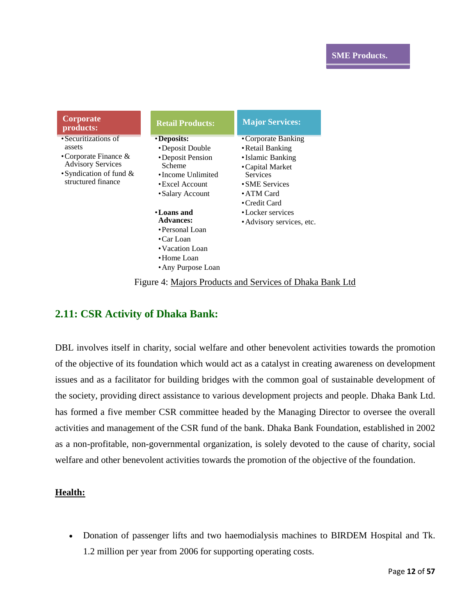| Corporate<br>products:                                                                                                                     | <b>Retail Products:</b>                                                                                                         | <b>Major Services:</b>                                                                                                                               |
|--------------------------------------------------------------------------------------------------------------------------------------------|---------------------------------------------------------------------------------------------------------------------------------|------------------------------------------------------------------------------------------------------------------------------------------------------|
| • Securitizations of<br>assets<br>• Corporate Finance $\&$<br><b>Advisory Services</b><br>• Syndication of fund $\&$<br>structured finance | • Deposits:<br>•Deposit Double<br>•Deposit Pension<br>Scheme<br>•Income Unlimited<br>$\cdot$ Excel Account<br>• Salary Account  | • Corporate Banking<br>• Retail Banking<br>• Islamic Banking<br>• Capital Market<br><b>Services</b><br>• SME Services<br>• ATM Card<br>• Credit Card |
|                                                                                                                                            | • Loans and<br><b>Advances:</b><br>• Personal Loan<br>$\bullet$ Car Loan<br>• Vacation Loan<br>•Home Loan<br>• Any Purpose Loan | • Locker services<br>• Advisory services, etc.                                                                                                       |

Figure 4: Majors Products and Services of Dhaka Bank Ltd

# **2.11: CSR Activity of Dhaka Bank:**

DBL involves itself in charity, social welfare and other benevolent activities towards the promotion of the objective of its foundation which would act as a catalyst in creating awareness on development issues and as a facilitator for building bridges with the common goal of sustainable development of the society, providing direct assistance to various development projects and people. Dhaka Bank Ltd. has formed a five member CSR committee headed by the Managing Director to oversee the overall activities and management of the CSR fund of the bank. Dhaka Bank Foundation, established in 2002 as a non-profitable, non-governmental organization, is solely devoted to the cause of charity, social welfare and other benevolent activities towards the promotion of the objective of the foundation.

#### **Health:**

• Donation of passenger lifts and two haemodialysis machines to BIRDEM Hospital and Tk. 1.2 million per year from 2006 for supporting operating costs.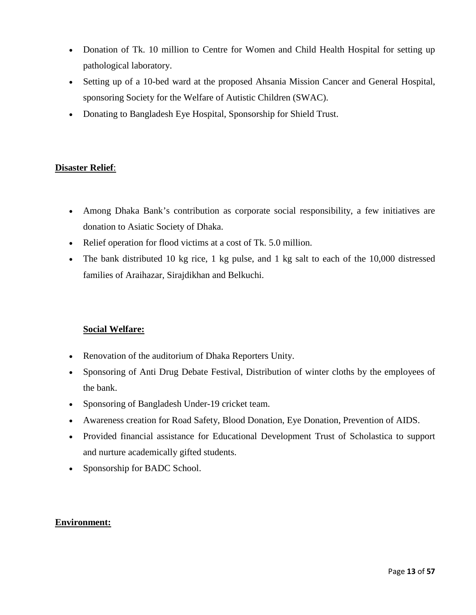- Donation of Tk. 10 million to Centre for Women and Child Health Hospital for setting up pathological laboratory.
- Setting up of a 10-bed ward at the proposed Ahsania Mission Cancer and General Hospital, sponsoring Society for the Welfare of Autistic Children (SWAC).
- Donating to Bangladesh Eye Hospital, Sponsorship for Shield Trust.

#### **Disaster Relief**:

- Among Dhaka Bank's contribution as corporate social responsibility, a few initiatives are donation to Asiatic Society of Dhaka.
- Relief operation for flood victims at a cost of Tk. 5.0 million.
- The bank distributed 10 kg rice, 1 kg pulse, and 1 kg salt to each of the 10,000 distressed families of Araihazar, Sirajdikhan and Belkuchi.

#### **Social Welfare:**

- Renovation of the auditorium of Dhaka Reporters Unity.
- Sponsoring of Anti Drug Debate Festival, Distribution of winter cloths by the employees of the bank.
- Sponsoring of Bangladesh Under-19 cricket team.
- Awareness creation for Road Safety, Blood Donation, Eye Donation, Prevention of AIDS.
- Provided financial assistance for Educational Development Trust of Scholastica to support and nurture academically gifted students.
- Sponsorship for BADC School.

#### **Environment:**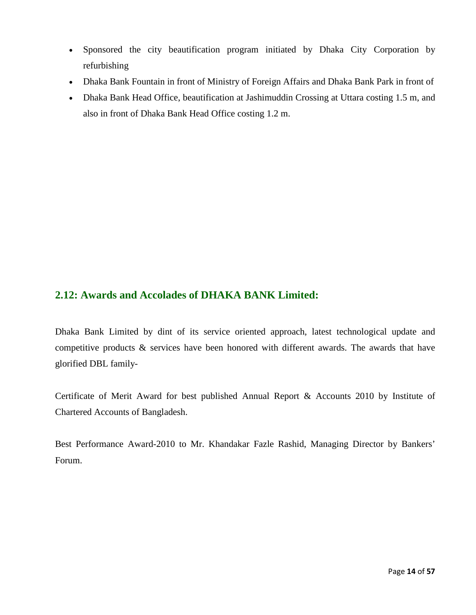- Sponsored the city beautification program initiated by Dhaka City Corporation by refurbishing
- Dhaka Bank Fountain in front of Ministry of Foreign Affairs and Dhaka Bank Park in front of
- Dhaka Bank Head Office, beautification at Jashimuddin Crossing at Uttara costing 1.5 m, and also in front of Dhaka Bank Head Office costing 1.2 m.

## **2.12: Awards and Accolades of DHAKA BANK Limited:**

Dhaka Bank Limited by dint of its service oriented approach, latest technological update and competitive products & services have been honored with different awards. The awards that have glorified DBL family-

Certificate of Merit Award for best published Annual Report & Accounts 2010 by Institute of Chartered Accounts of Bangladesh.

Best Performance Award-2010 to Mr. Khandakar Fazle Rashid, Managing Director by Bankers' Forum.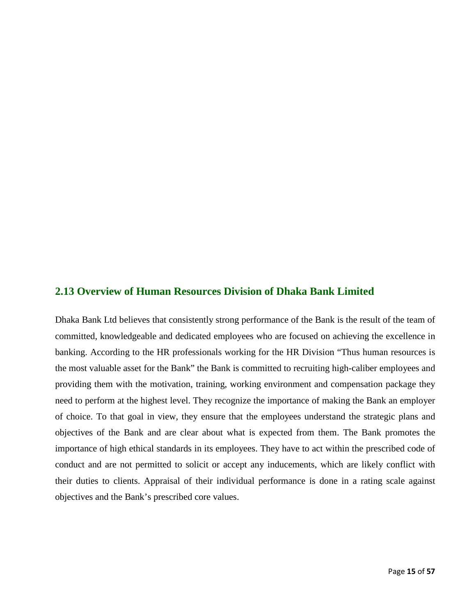#### **2.13 Overview of Human Resources Division of Dhaka Bank Limited**

Dhaka Bank Ltd believes that consistently strong performance of the Bank is the result of the team of committed, knowledgeable and dedicated employees who are focused on achieving the excellence in banking. According to the HR professionals working for the HR Division "Thus human resources is the most valuable asset for the Bank" the Bank is committed to recruiting high-caliber employees and providing them with the motivation, training, working environment and compensation package they need to perform at the highest level. They recognize the importance of making the Bank an employer of choice. To that goal in view, they ensure that the employees understand the strategic plans and objectives of the Bank and are clear about what is expected from them. The Bank promotes the importance of high ethical standards in its employees. They have to act within the prescribed code of conduct and are not permitted to solicit or accept any inducements, which are likely conflict with their duties to clients. Appraisal of their individual performance is done in a rating scale against objectives and the Bank's prescribed core values.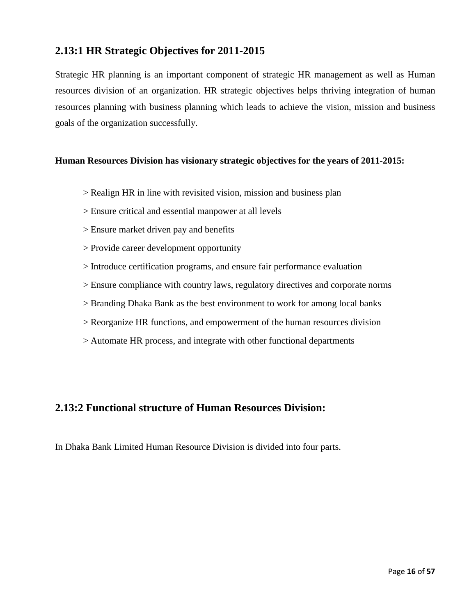# **2.13:1 HR Strategic Objectives for 2011-2015**

Strategic HR planning is an important component of strategic HR management as well as Human resources division of an organization. HR strategic objectives helps thriving integration of human resources planning with business planning which leads to achieve the vision, mission and business goals of the organization successfully.

#### **Human Resources Division has visionary strategic objectives for the years of 2011-2015:**

- > Realign HR in line with revisited vision, mission and business plan
- > Ensure critical and essential manpower at all levels
- > Ensure market driven pay and benefits
- > Provide career development opportunity
- > Introduce certification programs, and ensure fair performance evaluation
- > Ensure compliance with country laws, regulatory directives and corporate norms
- > Branding Dhaka Bank as the best environment to work for among local banks
- > Reorganize HR functions, and empowerment of the human resources division
- > Automate HR process, and integrate with other functional departments

## **2.13:2 Functional structure of Human Resources Division:**

In Dhaka Bank Limited Human Resource Division is divided into four parts.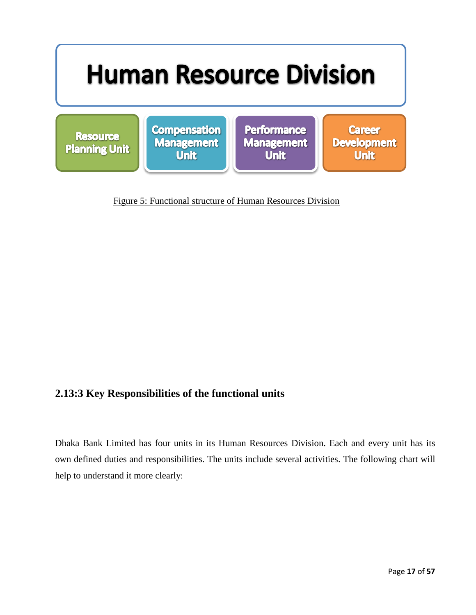

Figure 5: Functional structure of Human Resources Division

# **2.13:3 Key Responsibilities of the functional units**

Dhaka Bank Limited has four units in its Human Resources Division. Each and every unit has its own defined duties and responsibilities. The units include several activities. The following chart will help to understand it more clearly: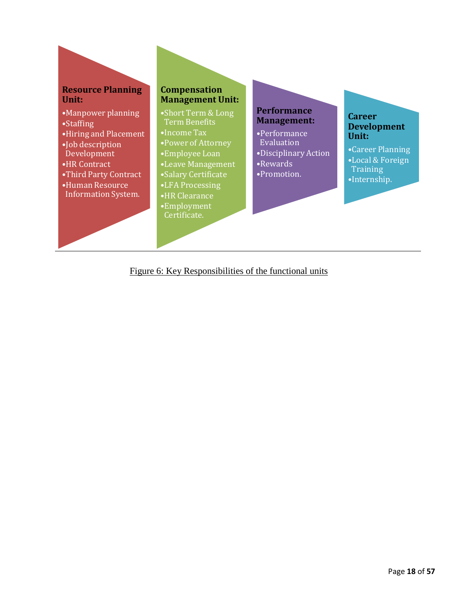

Figure 6: Key Responsibilities of the functional units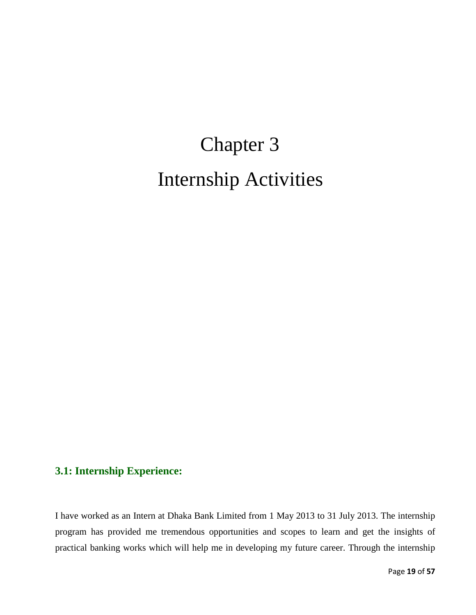# Chapter 3 Internship Activities

# **3.1: Internship Experience:**

I have worked as an Intern at Dhaka Bank Limited from 1 May 2013 to 31 July 2013. The internship program has provided me tremendous opportunities and scopes to learn and get the insights of practical banking works which will help me in developing my future career. Through the internship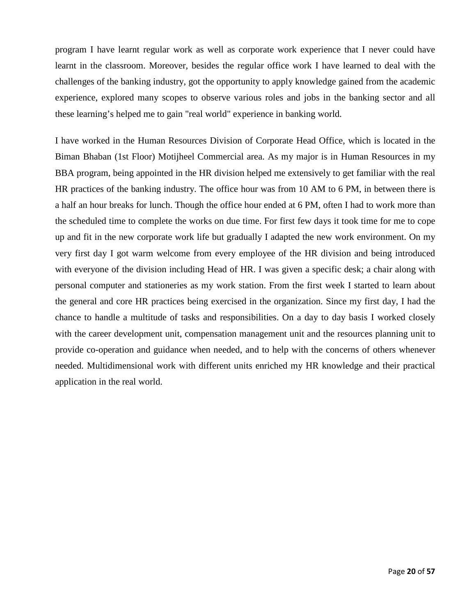program I have learnt regular work as well as corporate work experience that I never could have learnt in the classroom. Moreover, besides the regular office work I have learned to deal with the challenges of the banking industry, got the opportunity to apply knowledge gained from the academic experience, explored many scopes to observe various roles and jobs in the banking sector and all these learning's helped me to gain "real world" experience in banking world.

I have worked in the Human Resources Division of Corporate Head Office, which is located in the Biman Bhaban (1st Floor) Motijheel Commercial area. As my major is in Human Resources in my BBA program, being appointed in the HR division helped me extensively to get familiar with the real HR practices of the banking industry. The office hour was from 10 AM to 6 PM, in between there is a half an hour breaks for lunch. Though the office hour ended at 6 PM, often I had to work more than the scheduled time to complete the works on due time. For first few days it took time for me to cope up and fit in the new corporate work life but gradually I adapted the new work environment. On my very first day I got warm welcome from every employee of the HR division and being introduced with everyone of the division including Head of HR. I was given a specific desk; a chair along with personal computer and stationeries as my work station. From the first week I started to learn about the general and core HR practices being exercised in the organization. Since my first day, I had the chance to handle a multitude of tasks and responsibilities. On a day to day basis I worked closely with the career development unit, compensation management unit and the resources planning unit to provide co-operation and guidance when needed, and to help with the concerns of others whenever needed. Multidimensional work with different units enriched my HR knowledge and their practical application in the real world.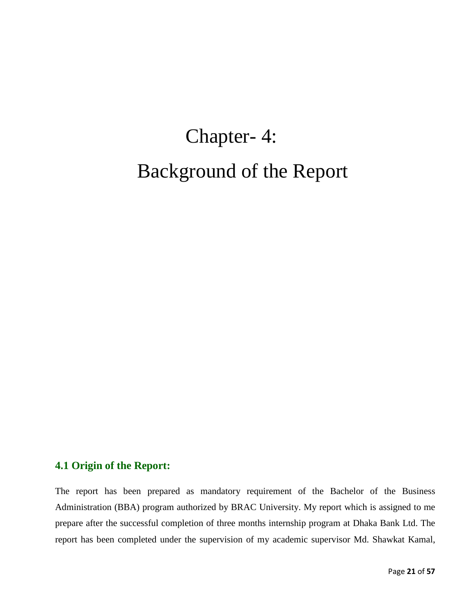# Chapter- 4: Background of the Report

#### **4.1 Origin of the Report:**

The report has been prepared as mandatory requirement of the Bachelor of the Business Administration (BBA) program authorized by BRAC University. My report which is assigned to me prepare after the successful completion of three months internship program at Dhaka Bank Ltd. The report has been completed under the supervision of my academic supervisor Md. Shawkat Kamal,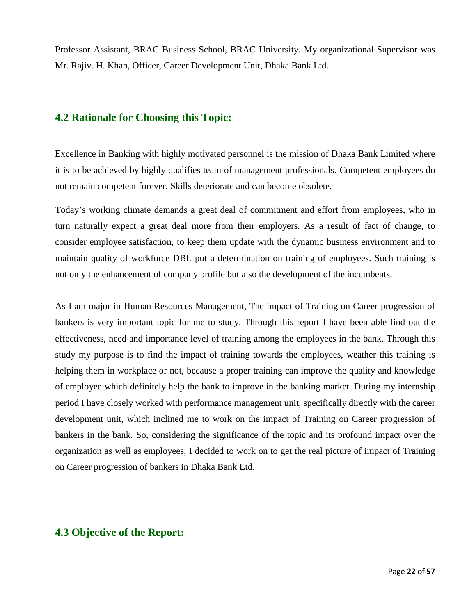Professor Assistant, BRAC Business School, BRAC University. My organizational Supervisor was Mr. Rajiv. H. Khan, Officer, Career Development Unit, Dhaka Bank Ltd.

### **4.2 Rationale for Choosing this Topic:**

Excellence in Banking with highly motivated personnel is the mission of Dhaka Bank Limited where it is to be achieved by highly qualifies team of management professionals. Competent employees do not remain competent forever. Skills deteriorate and can become obsolete.

Today's working climate demands a great deal of commitment and effort from employees, who in turn naturally expect a great deal more from their employers. As a result of fact of change, to consider employee satisfaction, to keep them update with the dynamic business environment and to maintain quality of workforce DBL put a determination on training of employees. Such training is not only the enhancement of company profile but also the development of the incumbents.

As I am major in Human Resources Management, The impact of Training on Career progression of bankers is very important topic for me to study. Through this report I have been able find out the effectiveness, need and importance level of training among the employees in the bank. Through this study my purpose is to find the impact of training towards the employees, weather this training is helping them in workplace or not, because a proper training can improve the quality and knowledge of employee which definitely help the bank to improve in the banking market. During my internship period I have closely worked with performance management unit, specifically directly with the career development unit, which inclined me to work on the impact of Training on Career progression of bankers in the bank. So, considering the significance of the topic and its profound impact over the organization as well as employees, I decided to work on to get the real picture of impact of Training on Career progression of bankers in Dhaka Bank Ltd.

#### **4.3 Objective of the Report:**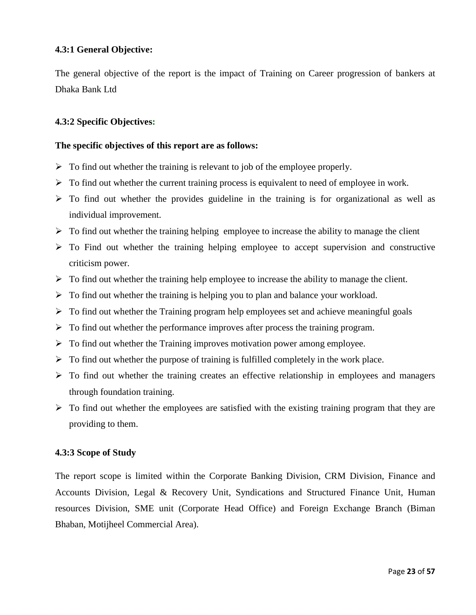#### **4.3:1 General Objective:**

The general objective of the report is the impact of Training on Career progression of bankers at Dhaka Bank Ltd

#### **4.3:2 Specific Objectives:**

#### **The specific objectives of this report are as follows:**

- $\triangleright$  To find out whether the training is relevant to job of the employee properly.
- $\triangleright$  To find out whether the current training process is equivalent to need of employee in work.
- $\triangleright$  To find out whether the provides guideline in the training is for organizational as well as individual improvement.
- $\triangleright$  To find out whether the training helping employee to increase the ability to manage the client
- $\triangleright$  To Find out whether the training helping employee to accept supervision and constructive criticism power.
- $\triangleright$  To find out whether the training help employee to increase the ability to manage the client.
- $\triangleright$  To find out whether the training is helping you to plan and balance your workload.
- $\triangleright$  To find out whether the Training program help employees set and achieve meaningful goals
- $\triangleright$  To find out whether the performance improves after process the training program.
- $\triangleright$  To find out whether the Training improves motivation power among employee.
- $\triangleright$  To find out whether the purpose of training is fulfilled completely in the work place.
- $\triangleright$  To find out whether the training creates an effective relationship in employees and managers through foundation training.
- $\triangleright$  To find out whether the employees are satisfied with the existing training program that they are providing to them.

#### **4.3:3 Scope of Study**

The report scope is limited within the Corporate Banking Division, CRM Division, Finance and Accounts Division, Legal & Recovery Unit, Syndications and Structured Finance Unit, Human resources Division, SME unit (Corporate Head Office) and Foreign Exchange Branch (Biman Bhaban, Motijheel Commercial Area).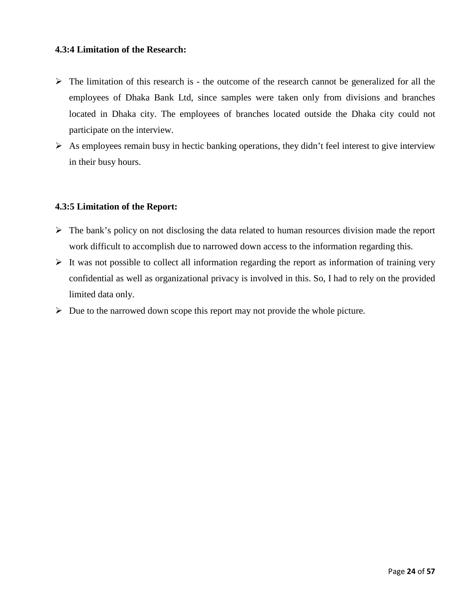#### **4.3:4 Limitation of the Research:**

- $\triangleright$  The limitation of this research is the outcome of the research cannot be generalized for all the employees of Dhaka Bank Ltd, since samples were taken only from divisions and branches located in Dhaka city. The employees of branches located outside the Dhaka city could not participate on the interview.
- $\triangleright$  As employees remain busy in hectic banking operations, they didn't feel interest to give interview in their busy hours.

#### **4.3:5 Limitation of the Report:**

- $\triangleright$  The bank's policy on not disclosing the data related to human resources division made the report work difficult to accomplish due to narrowed down access to the information regarding this.
- $\triangleright$  It was not possible to collect all information regarding the report as information of training very confidential as well as organizational privacy is involved in this. So, I had to rely on the provided limited data only.
- $\triangleright$  Due to the narrowed down scope this report may not provide the whole picture.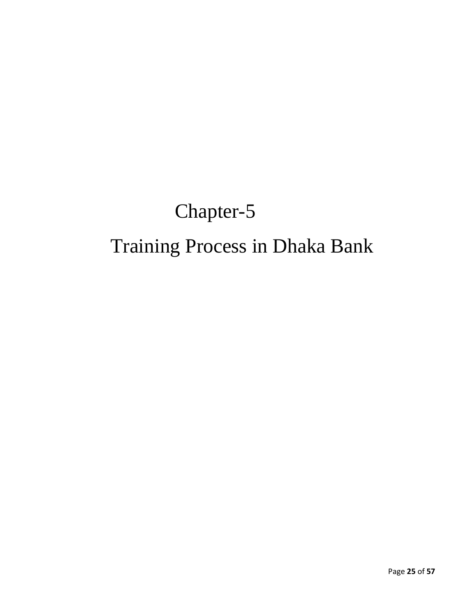# Chapter-5 Training Process in Dhaka Bank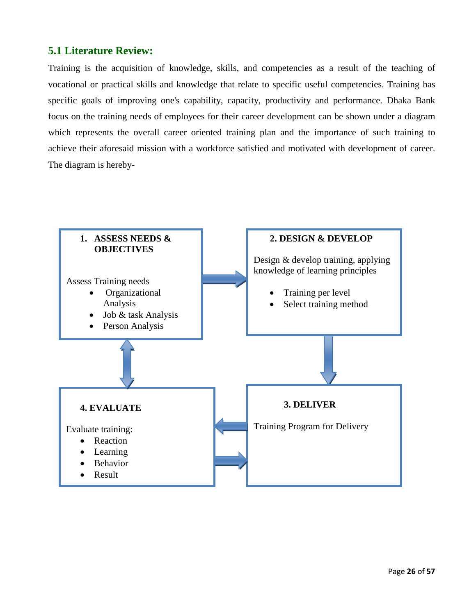# **5.1 Literature Review:**

Training is the acquisition of [knowledge,](http://en.wikipedia.org/wiki/Knowledge) [skills,](http://en.wikipedia.org/wiki/Skill) and [competencies](http://en.wikipedia.org/wiki/Competence_%28human_resources%29) as a result of the teaching of [vocational](http://en.wikipedia.org/wiki/Vocational_education) or practical skills and knowledge that relate to specific useful competencies. Training has specific goals of improving one's [capability,](http://en.wiktionary.org/wiki/capability) [capacity,](http://en.wikipedia.org/wiki/Capacity) [productivity](http://en.wikipedia.org/wiki/Productivity) and [performance.](http://en.wiktionary.org/wiki/performance) Dhaka Bank focus on the training needs of employees for their career development can be shown under a diagram which represents the overall career oriented training plan and the importance of such training to achieve their aforesaid mission with a workforce satisfied and motivated with development of career. The diagram is hereby-

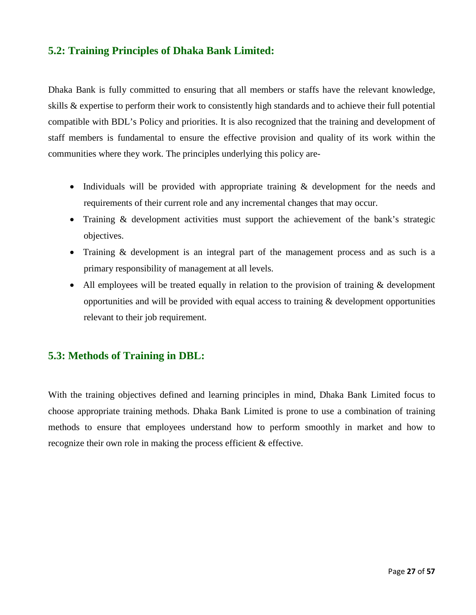# **5.2: Training Principles of Dhaka Bank Limited:**

Dhaka Bank is fully committed to ensuring that all members or staffs have the relevant knowledge, skills & expertise to perform their work to consistently high standards and to achieve their full potential compatible with BDL's Policy and priorities. It is also recognized that the training and development of staff members is fundamental to ensure the effective provision and quality of its work within the communities where they work. The principles underlying this policy are-

- Individuals will be provided with appropriate training & development for the needs and requirements of their current role and any incremental changes that may occur.
- Training & development activities must support the achievement of the bank's strategic objectives.
- Training & development is an integral part of the management process and as such is a primary responsibility of management at all levels.
- All employees will be treated equally in relation to the provision of training & development opportunities and will be provided with equal access to training  $\&$  development opportunities relevant to their job requirement.

## **5.3: Methods of Training in DBL:**

With the training objectives defined and learning principles in mind, Dhaka Bank Limited focus to choose appropriate training methods. Dhaka Bank Limited is prone to use a combination of training methods to ensure that employees understand how to perform smoothly in market and how to recognize their own role in making the process efficient & effective.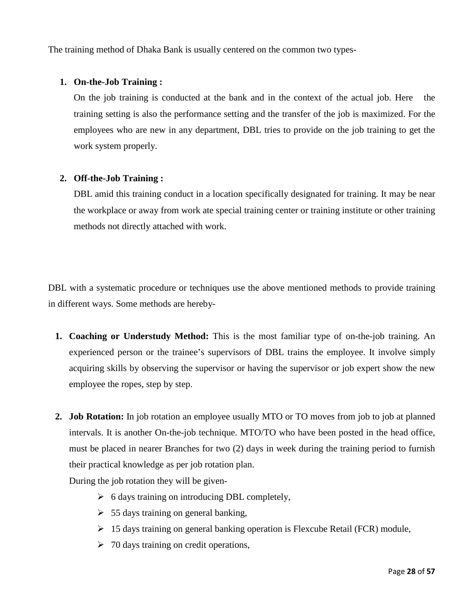The training method of Dhaka Bank is usually centered on the common two types-

#### **1. On-the-Job Training :**

On the job training is conducted at the bank and in the context of the actual job. Here the training setting is also the performance setting and the transfer of the job is maximized. For the employees who are new in any department, DBL tries to provide on the job training to get the work system properly.

#### **2. Off-the-Job Training :**

DBL amid this training conduct in a location specifically designated for training. It may be near the workplace or away from work ate special training center or training institute or other training methods not directly attached with work.

DBL with a systematic procedure or techniques use the above mentioned methods to provide training in different ways. Some methods are hereby-

- **1. Coaching or Understudy Method:** This is the most familiar type of on-the-job training. An experienced person or the trainee's supervisors of DBL trains the employee. It involve simply acquiring skills by observing the supervisor or having the supervisor or job expert show the new employee the ropes, step by step.
- **2. Job Rotation:** In job rotation an employee usually MTO or TO moves from job to job at planned intervals. It is another On-the-job technique. MTO/TO who have been posted in the head office, must be placed in nearer Branches for two (2) days in week during the training period to furnish their practical knowledge as per job rotation plan.

During the job rotation they will be given-

- $\triangleright$  6 days training on introducing DBL completely,
- $\geq 55$  days training on general banking,
- $\geq 15$  days training on general banking operation is Flexcube Retail (FCR) module,
- $\geq 70$  days training on credit operations,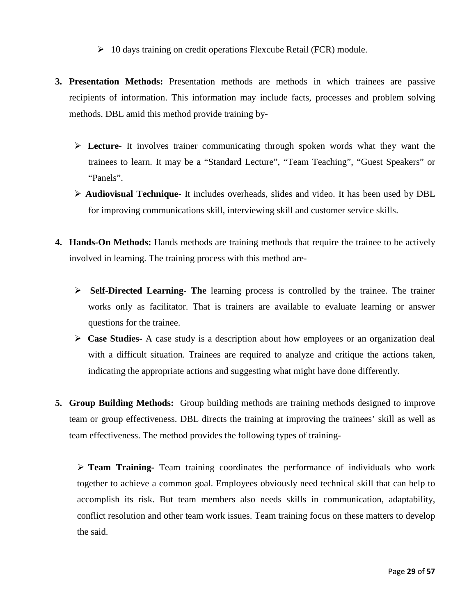- $\geq 10$  days training on credit operations Flexcube Retail (FCR) module.
- **3. Presentation Methods:** Presentation methods are methods in which trainees are passive recipients of information. This information may include facts, processes and problem solving methods. DBL amid this method provide training by-
	- **Lecture-** It involves trainer communicating through spoken words what they want the trainees to learn. It may be a "Standard Lecture", "Team Teaching", "Guest Speakers" or "Panels".
	- **Audiovisual Technique-** It includes overheads, slides and video. It has been used by DBL for improving communications skill, interviewing skill and customer service skills.
- **4. Hands-On Methods:** Hands methods are training methods that require the trainee to be actively involved in learning. The training process with this method are-
	- **Self-Directed Learning- The** learning process is controlled by the trainee. The trainer works only as facilitator. That is trainers are available to evaluate learning or answer questions for the trainee.
	- **Case Studies-** A case study is a description about how employees or an organization deal with a difficult situation. Trainees are required to analyze and critique the actions taken, indicating the appropriate actions and suggesting what might have done differently.
- **5. Group Building Methods:** Group building methods are training methods designed to improve team or group effectiveness. DBL directs the training at improving the trainees' skill as well as team effectiveness. The method provides the following types of training-

 **Team Training-** Team training coordinates the performance of individuals who work together to achieve a common goal. Employees obviously need technical skill that can help to accomplish its risk. But team members also needs skills in communication, adaptability, conflict resolution and other team work issues. Team training focus on these matters to develop the said.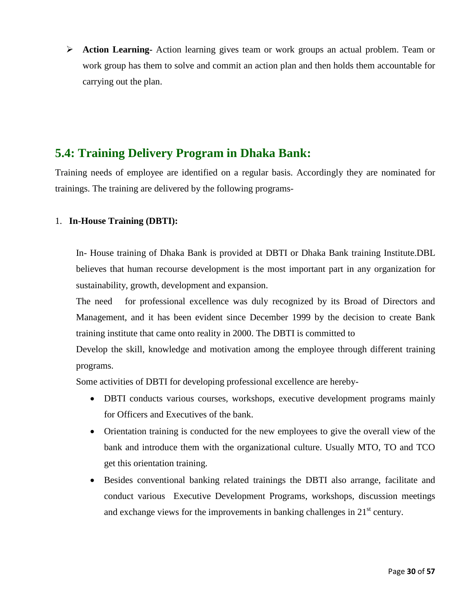**Action Learning-** Action learning gives team or work groups an actual problem. Team or work group has them to solve and commit an action plan and then holds them accountable for carrying out the plan.

# **5.4: Training Delivery Program in Dhaka Bank:**

 Training needs of employee are identified on a regular basis. Accordingly they are nominated for trainings. The training are delivered by the following programs-

#### 1. **In-House Training (DBTI):**

In- House training of Dhaka Bank is provided at DBTI or Dhaka Bank training Institute.DBL believes that human recourse development is the most important part in any organization for sustainability, growth, development and expansion.

The need for professional excellence was duly recognized by its Broad of Directors and Management, and it has been evident since December 1999 by the decision to create Bank training institute that came onto reality in 2000. The DBTI is committed to

Develop the skill, knowledge and motivation among the employee through different training programs.

Some activities of DBTI for developing professional excellence are hereby-

- DBTI conducts various courses, workshops, executive development programs mainly for Officers and Executives of the bank.
- Orientation training is conducted for the new employees to give the overall view of the bank and introduce them with the organizational culture. Usually MTO, TO and TCO get this orientation training.
- Besides conventional banking related trainings the DBTI also arrange, facilitate and conduct various Executive Development Programs, workshops, discussion meetings and exchange views for the improvements in banking challenges in  $21<sup>st</sup>$  century.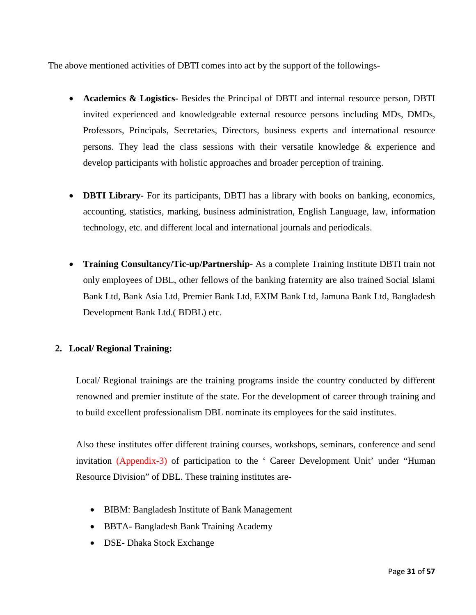The above mentioned activities of DBTI comes into act by the support of the followings-

- **Academics & Logistics-** Besides the Principal of DBTI and internal resource person, DBTI invited experienced and knowledgeable external resource persons including MDs, DMDs, Professors, Principals, Secretaries, Directors, business experts and international resource persons. They lead the class sessions with their versatile knowledge & experience and develop participants with holistic approaches and broader perception of training.
- **DBTI Library-** For its participants, DBTI has a library with books on banking, economics, accounting, statistics, marking, business administration, English Language, law, information technology, etc. and different local and international journals and periodicals.
- **Training Consultancy/Tic-up/Partnership-** As a complete Training Institute DBTI train not only employees of DBL, other fellows of the banking fraternity are also trained Social Islami Bank Ltd, Bank Asia Ltd, Premier Bank Ltd, EXIM Bank Ltd, Jamuna Bank Ltd, Bangladesh Development Bank Ltd.( BDBL) etc.

#### **2. Local/ Regional Training:**

Local/ Regional trainings are the training programs inside the country conducted by different renowned and premier institute of the state. For the development of career through training and to build excellent professionalism DBL nominate its employees for the said institutes.

Also these institutes offer different training courses, workshops, seminars, conference and send invitation (Appendix-3) of participation to the ' Career Development Unit' under "Human Resource Division" of DBL. These training institutes are-

- BIBM: Bangladesh Institute of Bank Management
- BBTA- Bangladesh Bank Training Academy
- DSE- Dhaka Stock Exchange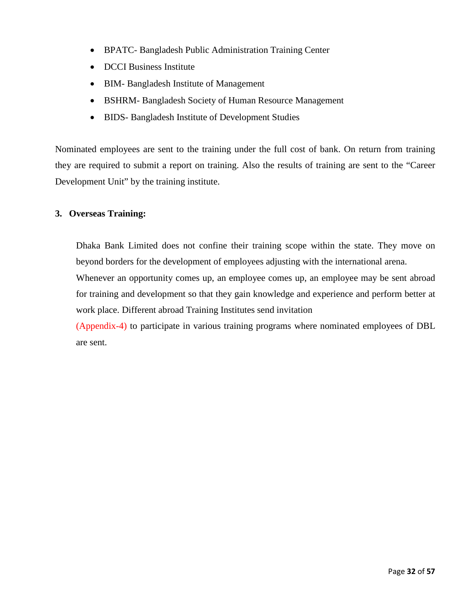- BPATC- Bangladesh Public Administration Training Center
- DCCI Business Institute
- BIM- Bangladesh Institute of Management
- BSHRM- Bangladesh Society of Human Resource Management
- BIDS- Bangladesh Institute of Development Studies

Nominated employees are sent to the training under the full cost of bank. On return from training they are required to submit a report on training. Also the results of training are sent to the "Career Development Unit" by the training institute.

#### **3. Overseas Training:**

Dhaka Bank Limited does not confine their training scope within the state. They move on beyond borders for the development of employees adjusting with the international arena.

Whenever an opportunity comes up, an employee comes up, an employee may be sent abroad for training and development so that they gain knowledge and experience and perform better at work place. Different abroad Training Institutes send invitation

(Appendix-4) to participate in various training programs where nominated employees of DBL are sent.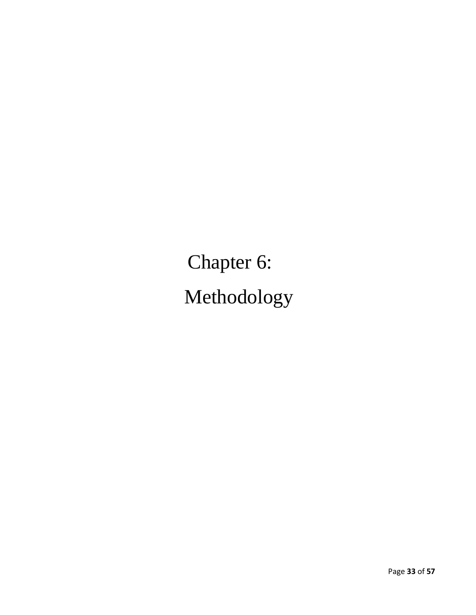Chapter 6: Methodology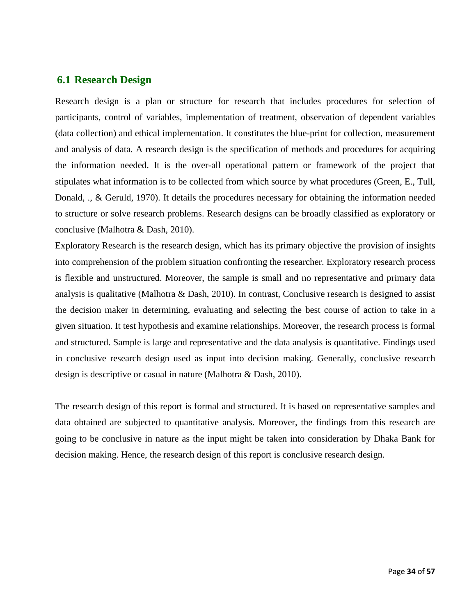### **6.1 Research Design**

Research design is a plan or structure for research that includes procedures for selection of participants, control of variables, implementation of treatment, observation of dependent variables (data collection) and ethical implementation. It constitutes the blue-print for collection, measurement and analysis of data. A research design is the specification of methods and procedures for acquiring the information needed. It is the over-all operational pattern or framework of the project that stipulates what information is to be collected from which source by what procedures (Green, E., Tull, Donald, ., & Geruld, 1970). It details the procedures necessary for obtaining the information needed to structure or solve research problems. Research designs can be broadly classified as exploratory or conclusive (Malhotra & Dash, 2010).

Exploratory Research is the research design, which has its primary objective the provision of insights into comprehension of the problem situation confronting the researcher. Exploratory research process is flexible and unstructured. Moreover, the sample is small and no representative and primary data analysis is qualitative (Malhotra & Dash, 2010). In contrast, Conclusive research is designed to assist the decision maker in determining, evaluating and selecting the best course of action to take in a given situation. It test hypothesis and examine relationships. Moreover, the research process is formal and structured. Sample is large and representative and the data analysis is quantitative. Findings used in conclusive research design used as input into decision making. Generally, conclusive research design is descriptive or casual in nature (Malhotra & Dash, 2010).

The research design of this report is formal and structured. It is based on representative samples and data obtained are subjected to quantitative analysis. Moreover, the findings from this research are going to be conclusive in nature as the input might be taken into consideration by Dhaka Bank for decision making. Hence, the research design of this report is conclusive research design.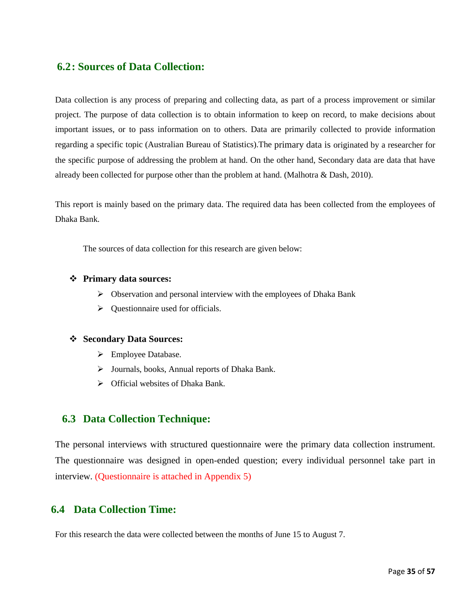#### **6.2: Sources of Data Collection:**

Data collection is any process of preparing and collecting data, as part of a process improvement or similar project. The purpose of data collection is to obtain information to keep on record, to make decisions about important issues, or to pass information on to others. Data are primarily collected to provide information regarding a specific topic (Australian Bureau of Statistics).The primary data is originated by a researcher for the specific purpose of addressing the problem at hand. On the other hand, Secondary data are data that have already been collected for purpose other than the problem at hand. (Malhotra & Dash, 2010).

This report is mainly based on the primary data. The required data has been collected from the employees of Dhaka Bank.

The sources of data collection for this research are given below:

#### **Primary data sources:**

- $\triangleright$  Observation and personal interview with the employees of Dhaka Bank
- $\triangleright$  Questionnaire used for officials.

#### **Secondary Data Sources:**

- Employee Database.
- Journals, books, Annual reports of Dhaka Bank.
- $\triangleright$  Official websites of Dhaka Bank.

#### **6.3 Data Collection Technique:**

The personal interviews with structured questionnaire were the primary data collection instrument. The questionnaire was designed in open-ended question; every individual personnel take part in interview. (Questionnaire is attached in Appendix 5)

## **6.4 Data Collection Time:**

For this research the data were collected between the months of June 15 to August 7.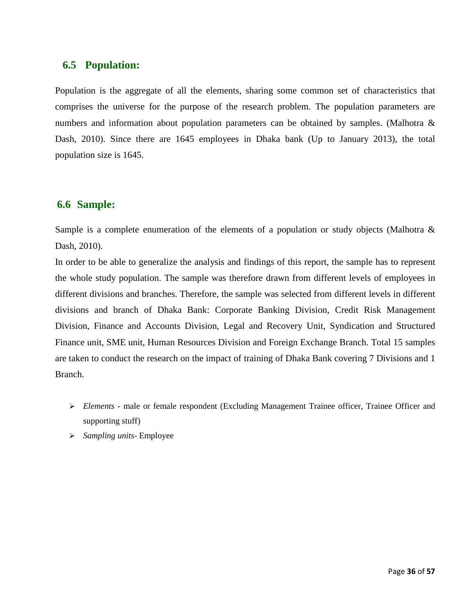## **6.5 Population:**

Population is the aggregate of all the elements, sharing some common set of characteristics that comprises the universe for the purpose of the research problem. The population parameters are numbers and information about population parameters can be obtained by samples. (Malhotra & Dash, 2010). Since there are 1645 employees in Dhaka bank (Up to January 2013), the total population size is 1645.

## **6.6 Sample:**

Sample is a complete enumeration of the elements of a population or study objects (Malhotra & Dash, 2010).

In order to be able to generalize the analysis and findings of this report, the sample has to represent the whole study population. The sample was therefore drawn from different levels of employees in different divisions and branches. Therefore, the sample was selected from different levels in different divisions and branch of Dhaka Bank: Corporate Banking Division, Credit Risk Management Division, Finance and Accounts Division, Legal and Recovery Unit, Syndication and Structured Finance unit, SME unit, Human Resources Division and Foreign Exchange Branch. Total 15 samples are taken to conduct the research on the impact of training of Dhaka Bank covering 7 Divisions and 1 Branch.

- *Elements -* male or female respondent (Excluding Management Trainee officer, Trainee Officer and supporting stuff)
- *Sampling units* Employee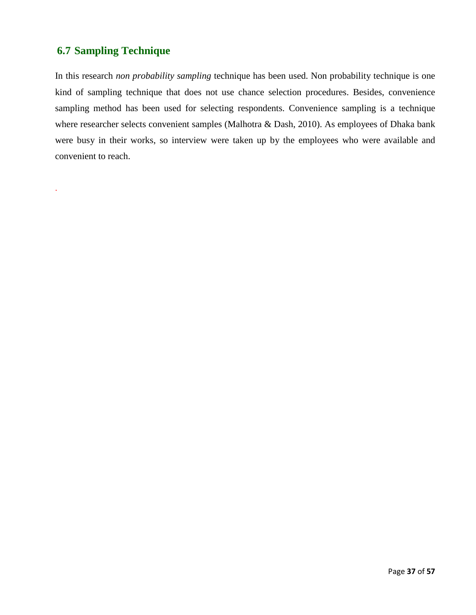# **6.7 Sampling Technique**

.

In this research *non probability sampling* technique has been used. Non probability technique is one kind of sampling technique that does not use chance selection procedures. Besides, convenience sampling method has been used for selecting respondents. Convenience sampling is a technique where researcher selects convenient samples (Malhotra & Dash, 2010). As employees of Dhaka bank were busy in their works, so interview were taken up by the employees who were available and convenient to reach.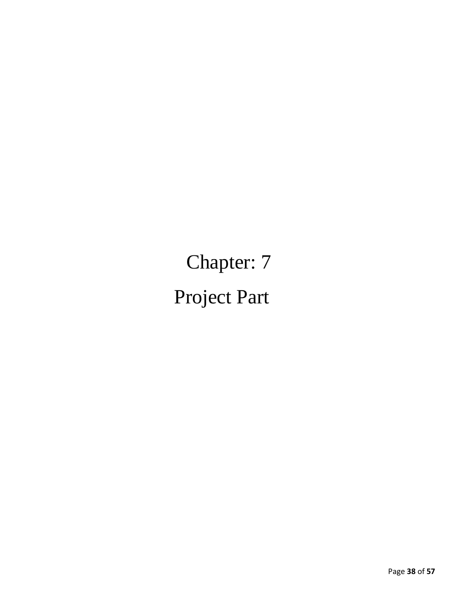Chapter: 7 Project Part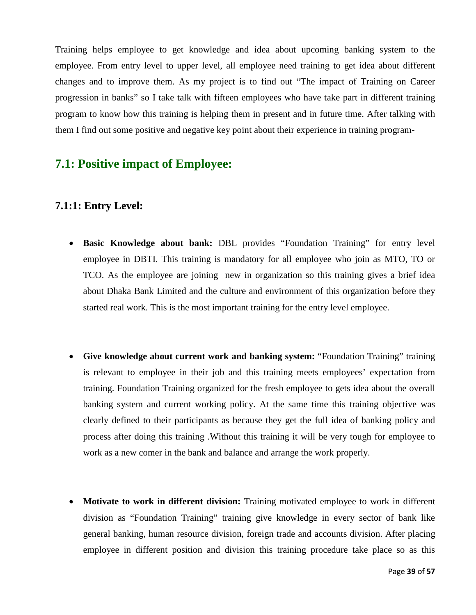Training helps employee to get knowledge and idea about upcoming banking system to the employee. From entry level to upper level, all employee need training to get idea about different changes and to improve them. As my project is to find out "The impact of Training on Career progression in banks" so I take talk with fifteen employees who have take part in different training program to know how this training is helping them in present and in future time. After talking with them I find out some positive and negative key point about their experience in training program-

# **7.1: Positive impact of Employee:**

## **7.1:1: Entry Level:**

- **Basic Knowledge about bank:** DBL provides "Foundation Training" for entry level employee in DBTI. This training is mandatory for all employee who join as MTO, TO or TCO. As the employee are joining new in organization so this training gives a brief idea about Dhaka Bank Limited and the culture and environment of this organization before they started real work. This is the most important training for the entry level employee.
- **Give knowledge about current work and banking system:** "Foundation Training" training is relevant to employee in their job and this training meets employees' expectation from training. Foundation Training organized for the fresh employee to gets idea about the overall banking system and current working policy. At the same time this training objective was clearly defined to their participants as because they get the full idea of banking policy and process after doing this training .Without this training it will be very tough for employee to work as a new comer in the bank and balance and arrange the work properly.
- **Motivate to work in different division:** Training motivated employee to work in different division as "Foundation Training" training give knowledge in every sector of bank like general banking, human resource division, foreign trade and accounts division. After placing employee in different position and division this training procedure take place so as this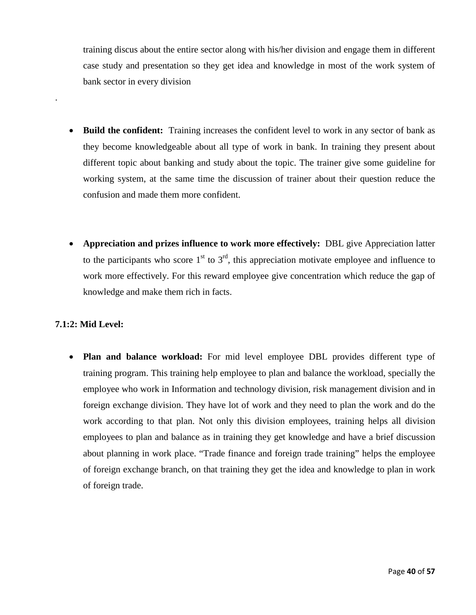training discus about the entire sector along with his/her division and engage them in different case study and presentation so they get idea and knowledge in most of the work system of bank sector in every division

- **Build the confident:** Training increases the confident level to work in any sector of bank as they become knowledgeable about all type of work in bank. In training they present about different topic about banking and study about the topic. The trainer give some guideline for working system, at the same time the discussion of trainer about their question reduce the confusion and made them more confident.
- **Appreciation and prizes influence to work more effectively:** DBL give Appreciation latter to the participants who score  $1<sup>st</sup>$  to  $3<sup>rd</sup>$ , this appreciation motivate employee and influence to work more effectively. For this reward employee give concentration which reduce the gap of knowledge and make them rich in facts.

#### **7.1:2: Mid Level:**

.

• **Plan and balance workload:** For mid level employee DBL provides different type of training program. This training help employee to plan and balance the workload, specially the employee who work in Information and technology division, risk management division and in foreign exchange division. They have lot of work and they need to plan the work and do the work according to that plan. Not only this division employees, training helps all division employees to plan and balance as in training they get knowledge and have a brief discussion about planning in work place. "Trade finance and foreign trade training" helps the employee of foreign exchange branch, on that training they get the idea and knowledge to plan in work of foreign trade.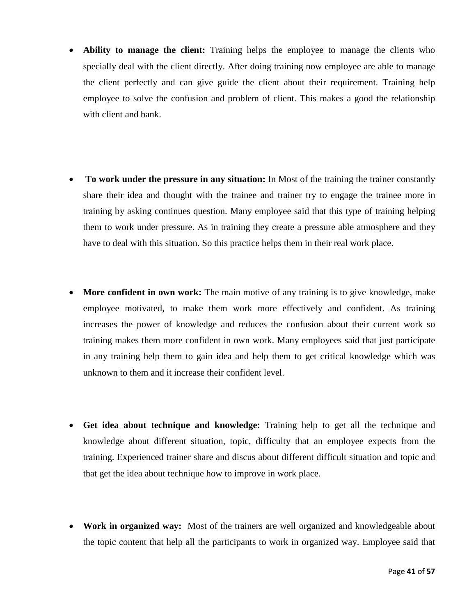- Ability to manage the client: Training helps the employee to manage the clients who specially deal with the client directly. After doing training now employee are able to manage the client perfectly and can give guide the client about their requirement. Training help employee to solve the confusion and problem of client. This makes a good the relationship with client and bank.
- **To work under the pressure in any situation:** In Most of the training the trainer constantly share their idea and thought with the trainee and trainer try to engage the trainee more in training by asking continues question. Many employee said that this type of training helping them to work under pressure. As in training they create a pressure able atmosphere and they have to deal with this situation. So this practice helps them in their real work place.
- **More confident in own work:** The main motive of any training is to give knowledge, make employee motivated, to make them work more effectively and confident. As training increases the power of knowledge and reduces the confusion about their current work so training makes them more confident in own work. Many employees said that just participate in any training help them to gain idea and help them to get critical knowledge which was unknown to them and it increase their confident level.
- **Get idea about technique and knowledge:** Training help to get all the technique and knowledge about different situation, topic, difficulty that an employee expects from the training. Experienced trainer share and discus about different difficult situation and topic and that get the idea about technique how to improve in work place.
- **Work in organized way:** Most of the trainers are well organized and knowledgeable about the topic content that help all the participants to work in organized way. Employee said that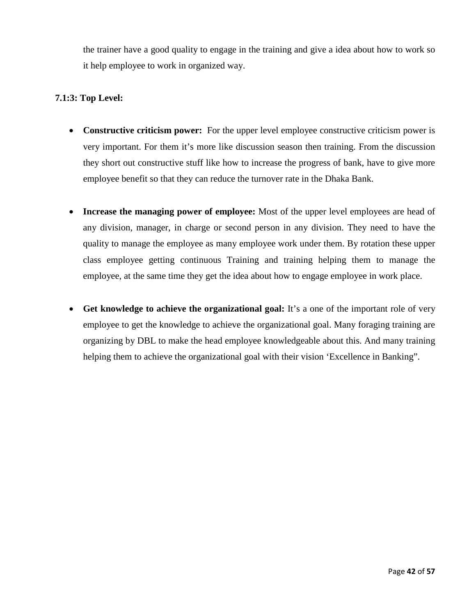the trainer have a good quality to engage in the training and give a idea about how to work so it help employee to work in organized way.

#### **7.1:3: Top Level:**

- **Constructive criticism power:** For the upper level employee constructive criticism power is very important. For them it's more like discussion season then training. From the discussion they short out constructive stuff like how to increase the progress of bank, have to give more employee benefit so that they can reduce the turnover rate in the Dhaka Bank.
- **Increase the managing power of employee:** Most of the upper level employees are head of any division, manager, in charge or second person in any division. They need to have the quality to manage the employee as many employee work under them. By rotation these upper class employee getting continuous Training and training helping them to manage the employee, at the same time they get the idea about how to engage employee in work place.
- **Get knowledge to achieve the organizational goal:** It's a one of the important role of very employee to get the knowledge to achieve the organizational goal. Many foraging training are organizing by DBL to make the head employee knowledgeable about this. And many training helping them to achieve the organizational goal with their vision 'Excellence in Banking".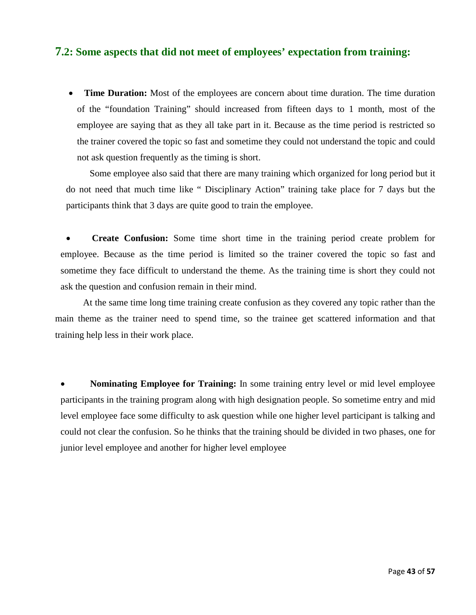### **7.2: Some aspects that did not meet of employees' expectation from training:**

• **Time Duration:** Most of the employees are concern about time duration. The time duration of the "foundation Training" should increased from fifteen days to 1 month, most of the employee are saying that as they all take part in it. Because as the time period is restricted so the trainer covered the topic so fast and sometime they could not understand the topic and could not ask question frequently as the timing is short.

 Some employee also said that there are many training which organized for long period but it do not need that much time like " Disciplinary Action" training take place for 7 days but the participants think that 3 days are quite good to train the employee.

• **Create Confusion:** Some time short time in the training period create problem for employee. Because as the time period is limited so the trainer covered the topic so fast and sometime they face difficult to understand the theme. As the training time is short they could not ask the question and confusion remain in their mind.

 At the same time long time training create confusion as they covered any topic rather than the main theme as the trainer need to spend time, so the trainee get scattered information and that training help less in their work place.

• **Nominating Employee for Training:** In some training entry level or mid level employee participants in the training program along with high designation people. So sometime entry and mid level employee face some difficulty to ask question while one higher level participant is talking and could not clear the confusion. So he thinks that the training should be divided in two phases, one for junior level employee and another for higher level employee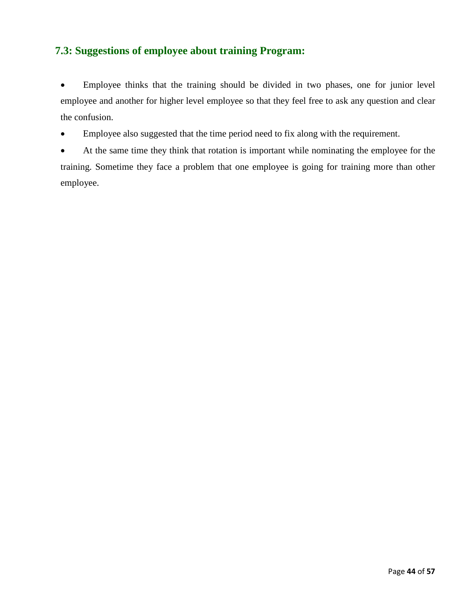# **7.3: Suggestions of employee about training Program:**

• Employee thinks that the training should be divided in two phases, one for junior level employee and another for higher level employee so that they feel free to ask any question and clear the confusion.

• Employee also suggested that the time period need to fix along with the requirement.

• At the same time they think that rotation is important while nominating the employee for the training. Sometime they face a problem that one employee is going for training more than other employee.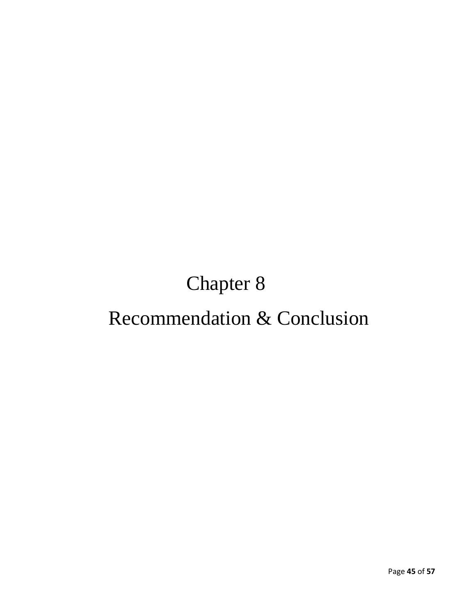# Chapter 8 Recommendation & Conclusion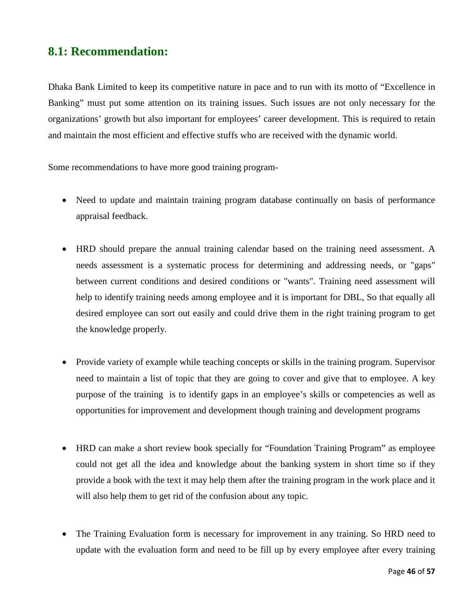# **8.1: Recommendation:**

Dhaka Bank Limited to keep its competitive nature in pace and to run with its motto of "Excellence in Banking" must put some attention on its training issues. Such issues are not only necessary for the organizations' growth but also important for employees' career development. This is required to retain and maintain the most efficient and effective stuffs who are received with the dynamic world.

Some recommendations to have more good training program-

- Need to update and maintain training program database continually on basis of performance appraisal feedback.
- HRD should prepare the annual training calendar based on the training need assessment. A needs assessment is a systematic process for determining and addressing needs, or "gaps" between current conditions and desired conditions or "wants". Training need assessment will help to identify training needs among employee and it is important for DBL, So that equally all desired employee can sort out easily and could drive them in the right training program to get the knowledge properly.
- Provide variety of example while teaching concepts or skills in the training program. Supervisor need to maintain a list of topic that they are going to cover and give that to employee. A key purpose of the training is to identify gaps in an employee's skills or competencies as well as opportunities for improvement and development though training and development programs
- HRD can make a short review book specially for "Foundation Training Program" as employee could not get all the idea and knowledge about the banking system in short time so if they provide a book with the text it may help them after the training program in the work place and it will also help them to get rid of the confusion about any topic.
- The Training Evaluation form is necessary for improvement in any training. So HRD need to update with the evaluation form and need to be fill up by every employee after every training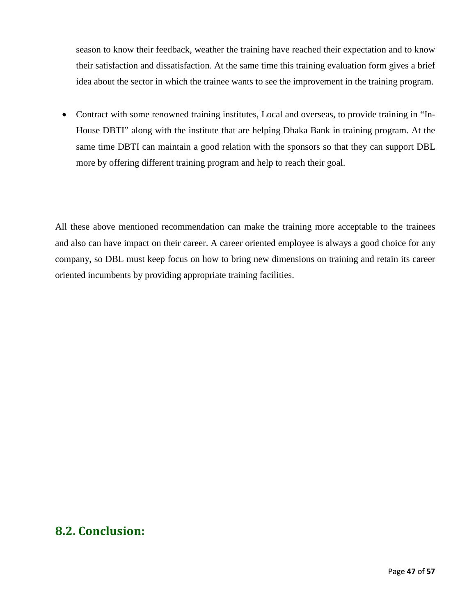season to know their feedback, weather the training have reached their expectation and to know their satisfaction and dissatisfaction. At the same time this training evaluation form gives a brief idea about the sector in which the trainee wants to see the improvement in the training program.

• Contract with some renowned training institutes, Local and overseas, to provide training in "In-House DBTI" along with the institute that are helping Dhaka Bank in training program. At the same time DBTI can maintain a good relation with the sponsors so that they can support DBL more by offering different training program and help to reach their goal.

All these above mentioned recommendation can make the training more acceptable to the trainees and also can have impact on their career. A career oriented employee is always a good choice for any company, so DBL must keep focus on how to bring new dimensions on training and retain its career oriented incumbents by providing appropriate training facilities.

# **8.2. Conclusion:**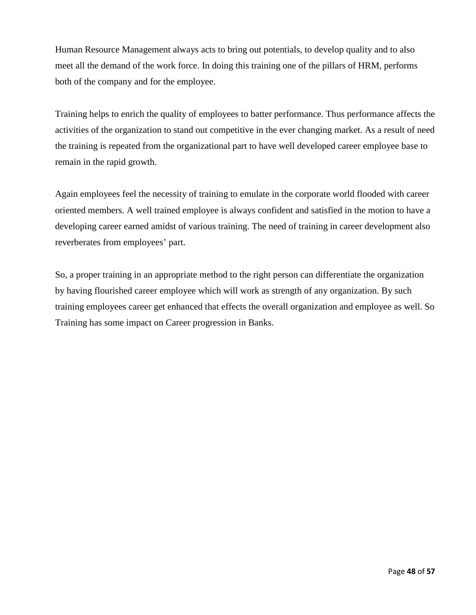Human Resource Management always acts to bring out potentials, to develop quality and to also meet all the demand of the work force. In doing this training one of the pillars of HRM, performs both of the company and for the employee.

Training helps to enrich the quality of employees to batter performance. Thus performance affects the activities of the organization to stand out competitive in the ever changing market. As a result of need the training is repeated from the organizational part to have well developed career employee base to remain in the rapid growth.

Again employees feel the necessity of training to emulate in the corporate world flooded with career oriented members. A well trained employee is always confident and satisfied in the motion to have a developing career earned amidst of various training. The need of training in career development also reverberates from employees' part.

So, a proper training in an appropriate method to the right person can differentiate the organization by having flourished career employee which will work as strength of any organization. By such training employees career get enhanced that effects the overall organization and employee as well. So Training has some impact on Career progression in Banks.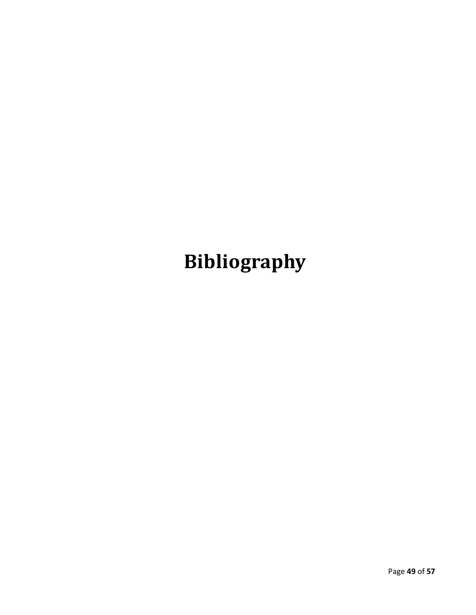# **Bibliography**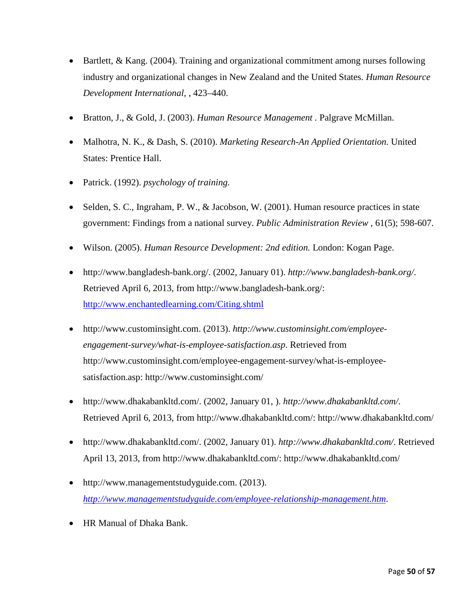- Bartlett, & Kang. (2004). Training and organizational commitment among nurses following industry and organizational changes in New Zealand and the United States. *Human Resource Development International,* , 423–440.
- Bratton, J., & Gold, J. (2003). *Human Resource Management .* Palgrave McMillan.
- Malhotra, N. K., & Dash, S. (2010). *Marketing Research-An Applied Orientation.* United States: Prentice Hall.
- Patrick. (1992). *psychology of training.*
- Selden, S. C., Ingraham, P. W., & Jacobson, W. (2001). Human resource practices in state government: Findings from a national survey. *Public Administration Review* , 61(5); 598-607.
- Wilson. (2005). *Human Resource Development: 2nd edition.* London: Kogan Page.
- http://www.bangladesh-bank.org/. (2002, January 01). *http://www.bangladesh-bank.org/*. Retrieved April 6, 2013, from http://www.bangladesh-bank.org/: <http://www.enchantedlearning.com/Citing.shtml>
- http://www.custominsight.com. (2013). *http://www.custominsight.com/employeeengagement-survey/what-is-employee-satisfaction.asp*. Retrieved from http://www.custominsight.com/employee-engagement-survey/what-is-employeesatisfaction.asp: http://www.custominsight.com/
- http://www.dhakabankltd.com/. (2002, January 01, ). *http://www.dhakabankltd.com/*. Retrieved April 6, 2013, from http://www.dhakabankltd.com/: http://www.dhakabankltd.com/
- http://www.dhakabankltd.com/. (2002, January 01). *http://www.dhakabankltd.com/*. Retrieved April 13, 2013, from http://www.dhakabankltd.com/: http://www.dhakabankltd.com/
- http://www.managementstudyguide.com. (2013). *<http://www.managementstudyguide.com/employee-relationship-management.htm>*.
- HR Manual of Dhaka Bank.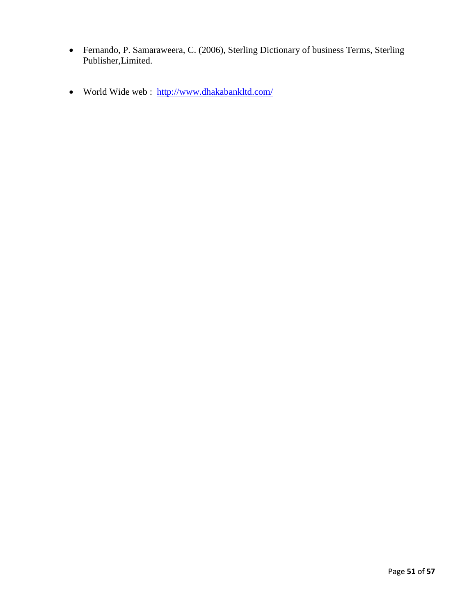- Fernando, P. Samaraweera, C. (2006), Sterling Dictionary of business Terms, Sterling Publisher,Limited.
- World Wide web : <http://www.dhakabankltd.com/>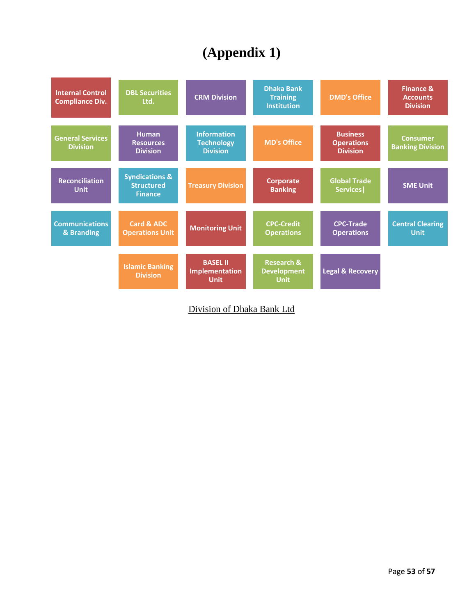# **(Appendix 1)**



Division of Dhaka Bank Ltd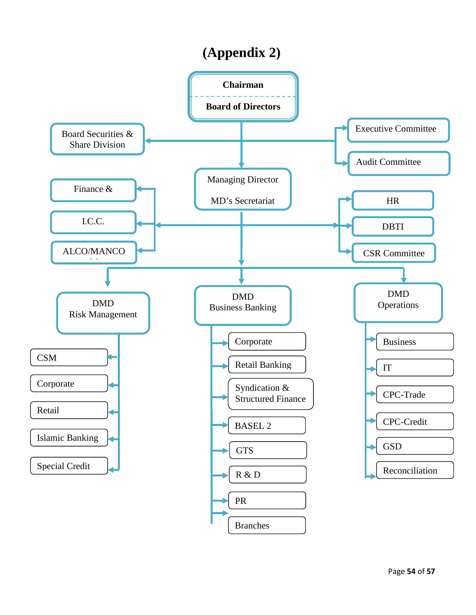# **(Appendix 2)**

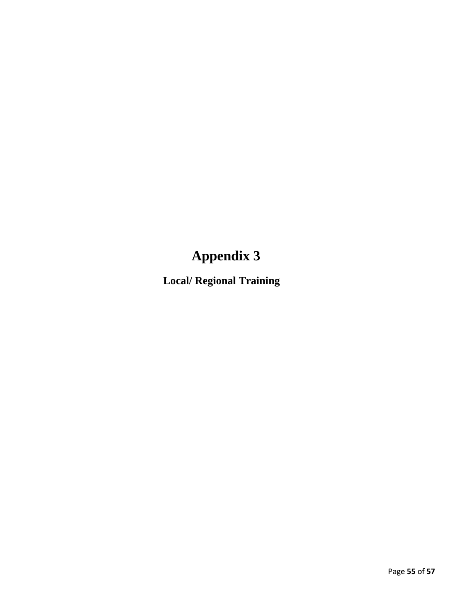**Local/ Regional Training**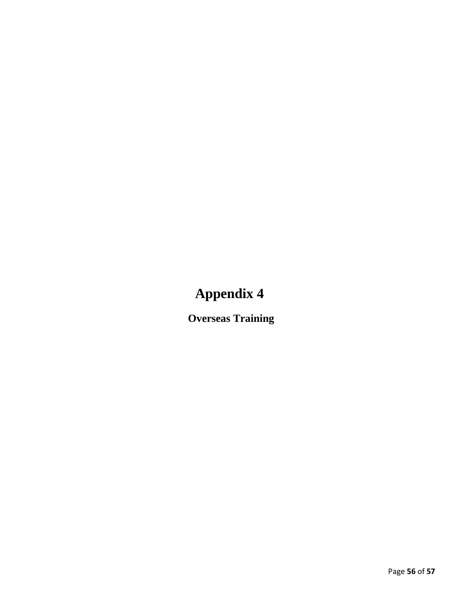**Overseas Training**